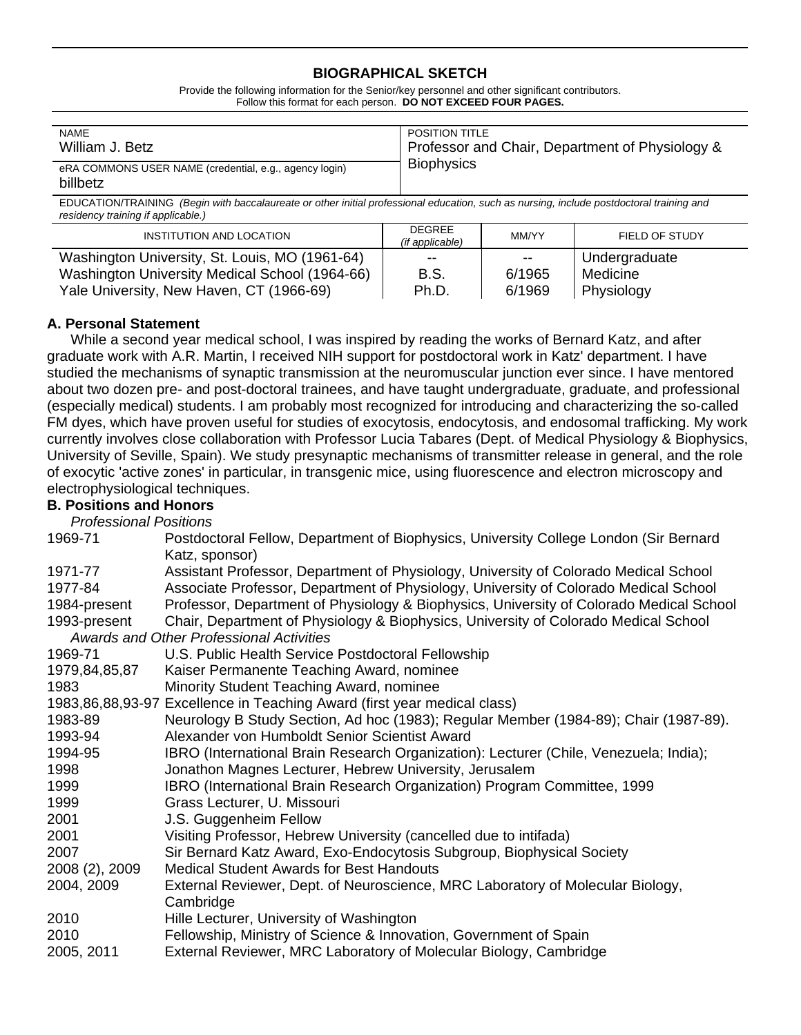## **BIOGRAPHICAL SKETCH**

Provide the following information for the Senior/key personnel and other significant contributors. Follow this format for each person. **DO NOT EXCEED FOUR PAGES.**

| <b>NAME</b>                                                        | <b>POSITION TITLE</b>                           |
|--------------------------------------------------------------------|-------------------------------------------------|
| William J. Betz                                                    | Professor and Chair, Department of Physiology & |
| eRA COMMONS USER NAME (credential, e.g., agency login)<br>billbetz | <b>Biophysics</b>                               |

EDUCATION/TRAINING *(Begin with baccalaureate or other initial professional education, such as nursing, include postdoctoral training and residency training if applicable.)*

| INSTITUTION AND LOCATION                       | <b>DEGREE</b><br>(if applicable) | MM/YY  | FIELD OF STUDY |
|------------------------------------------------|----------------------------------|--------|----------------|
| Washington University, St. Louis, MO (1961-64) | $- -$                            | $-$    | Undergraduate  |
| Washington University Medical School (1964-66) | <b>B.S.</b>                      | 6/1965 | Medicine       |
| Yale University, New Haven, CT (1966-69)       | Ph.D.                            | 6/1969 | Physiology     |

## **A. Personal Statement**

 While a second year medical school, I was inspired by reading the works of Bernard Katz, and after graduate work with A.R. Martin, I received NIH support for postdoctoral work in Katz' department. I have studied the mechanisms of synaptic transmission at the neuromuscular junction ever since. I have mentored about two dozen pre- and post-doctoral trainees, and have taught undergraduate, graduate, and professional (especially medical) students. I am probably most recognized for introducing and characterizing the so-called FM dyes, which have proven useful for studies of exocytosis, endocytosis, and endosomal trafficking. My work currently involves close collaboration with Professor Lucia Tabares (Dept. of Medical Physiology & Biophysics, University of Seville, Spain). We study presynaptic mechanisms of transmitter release in general, and the role of exocytic 'active zones' in particular, in transgenic mice, using fluorescence and electron microscopy and electrophysiological techniques.

# **B. Positions and Honors**

 *Professional Positions* 

| 1969-71        | Postdoctoral Fellow, Department of Biophysics, University College London (Sir Bernard   |
|----------------|-----------------------------------------------------------------------------------------|
|                | Katz, sponsor)                                                                          |
| 1971-77        | Assistant Professor, Department of Physiology, University of Colorado Medical School    |
| 1977-84        | Associate Professor, Department of Physiology, University of Colorado Medical School    |
| 1984-present   | Professor, Department of Physiology & Biophysics, University of Colorado Medical School |
| 1993-present   | Chair, Department of Physiology & Biophysics, University of Colorado Medical School     |
|                | <b>Awards and Other Professional Activities</b>                                         |
| 1969-71        | U.S. Public Health Service Postdoctoral Fellowship                                      |
| 1979,84,85,87  | Kaiser Permanente Teaching Award, nominee                                               |
| 1983           | Minority Student Teaching Award, nominee                                                |
|                | 1983,86,88,93-97 Excellence in Teaching Award (first year medical class)                |
| 1983-89        | Neurology B Study Section, Ad hoc (1983); Regular Member (1984-89); Chair (1987-89).    |
| 1993-94        | Alexander von Humboldt Senior Scientist Award                                           |
| 1994-95        | IBRO (International Brain Research Organization): Lecturer (Chile, Venezuela; India);   |
| 1998           | Jonathon Magnes Lecturer, Hebrew University, Jerusalem                                  |
| 1999           | IBRO (International Brain Research Organization) Program Committee, 1999                |
| 1999           | Grass Lecturer, U. Missouri                                                             |
| 2001           | J.S. Guggenheim Fellow                                                                  |
| 2001           | Visiting Professor, Hebrew University (cancelled due to intifada)                       |
| 2007           | Sir Bernard Katz Award, Exo-Endocytosis Subgroup, Biophysical Society                   |
| 2008 (2), 2009 | <b>Medical Student Awards for Best Handouts</b>                                         |
| 2004, 2009     | External Reviewer, Dept. of Neuroscience, MRC Laboratory of Molecular Biology,          |
|                | Cambridge                                                                               |
| 2010           | Hille Lecturer, University of Washington                                                |
| 2010           | Fellowship, Ministry of Science & Innovation, Government of Spain                       |
| 2005, 2011     | External Reviewer, MRC Laboratory of Molecular Biology, Cambridge                       |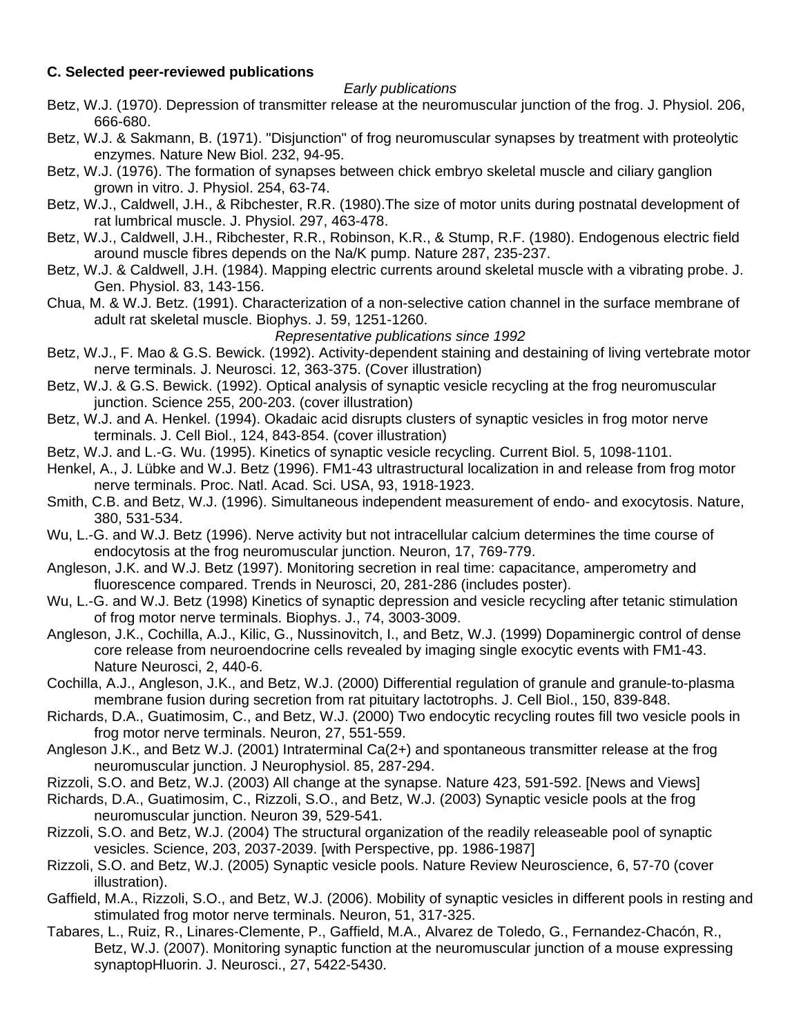## **C. Selected peer-reviewed publications**

#### *Early publications*

- Betz, W.J. (1970). Depression of transmitter release at the neuromuscular junction of the frog. J. Physiol. 206, 666-680.
- Betz, W.J. & Sakmann, B. (1971). "Disjunction" of frog neuromuscular synapses by treatment with proteolytic enzymes. Nature New Biol. 232, 94-95.
- Betz, W.J. (1976). The formation of synapses between chick embryo skeletal muscle and ciliary ganglion grown in vitro. J. Physiol. 254, 63-74.
- Betz, W.J., Caldwell, J.H., & Ribchester, R.R. (1980).The size of motor units during postnatal development of rat lumbrical muscle. J. Physiol. 297, 463-478.
- Betz, W.J., Caldwell, J.H., Ribchester, R.R., Robinson, K.R., & Stump, R.F. (1980). Endogenous electric field around muscle fibres depends on the Na/K pump. Nature 287, 235-237.
- Betz, W.J. & Caldwell, J.H. (1984). Mapping electric currents around skeletal muscle with a vibrating probe. J. Gen. Physiol. 83, 143-156.
- Chua, M. & W.J. Betz. (1991). Characterization of a non-selective cation channel in the surface membrane of adult rat skeletal muscle. Biophys. J. 59, 1251-1260.

*Representative publications since 1992*

- Betz, W.J., F. Mao & G.S. Bewick. (1992). Activity-dependent staining and destaining of living vertebrate motor nerve terminals. J. Neurosci. 12, 363-375. (Cover illustration)
- Betz, W.J. & G.S. Bewick. (1992). Optical analysis of synaptic vesicle recycling at the frog neuromuscular junction. Science 255, 200-203. (cover illustration)
- Betz, W.J. and A. Henkel. (1994). Okadaic acid disrupts clusters of synaptic vesicles in frog motor nerve terminals. J. Cell Biol., 124, 843-854. (cover illustration)
- Betz, W.J. and L.-G. Wu. (1995). Kinetics of synaptic vesicle recycling. Current Biol. 5, 1098-1101.
- Henkel, A., J. Lübke and W.J. Betz (1996). FM1-43 ultrastructural localization in and release from frog motor nerve terminals. Proc. Natl. Acad. Sci. USA, 93, 1918-1923.
- Smith, C.B. and Betz, W.J. (1996). Simultaneous independent measurement of endo- and exocytosis. Nature, 380, 531-534.
- Wu, L.-G. and W.J. Betz (1996). Nerve activity but not intracellular calcium determines the time course of endocytosis at the frog neuromuscular junction. Neuron, 17, 769-779.
- Angleson, J.K. and W.J. Betz (1997). Monitoring secretion in real time: capacitance, amperometry and fluorescence compared. Trends in Neurosci, 20, 281-286 (includes poster).
- Wu, L.-G. and W.J. Betz (1998) Kinetics of synaptic depression and vesicle recycling after tetanic stimulation of frog motor nerve terminals. Biophys. J., 74, 3003-3009.
- Angleson, J.K., Cochilla, A.J., Kilic, G., Nussinovitch, I., and Betz, W.J. (1999) Dopaminergic control of dense core release from neuroendocrine cells revealed by imaging single exocytic events with FM1-43. Nature Neurosci, 2, 440-6.
- Cochilla, A.J., Angleson, J.K., and Betz, W.J. (2000) Differential regulation of granule and granule-to-plasma membrane fusion during secretion from rat pituitary lactotrophs. J. Cell Biol., 150, 839-848.
- Richards, D.A., Guatimosim, C., and Betz, W.J. (2000) Two endocytic recycling routes fill two vesicle pools in frog motor nerve terminals. Neuron, 27, 551-559.
- Angleson J.K., and Betz W.J. (2001) Intraterminal Ca(2+) and spontaneous transmitter release at the frog neuromuscular junction. J Neurophysiol. 85, 287-294.
- Rizzoli, S.O. and Betz, W.J. (2003) All change at the synapse. Nature 423, 591-592. [News and Views]
- Richards, D.A., Guatimosim, C., Rizzoli, S.O., and Betz, W.J. (2003) Synaptic vesicle pools at the frog neuromuscular junction. Neuron 39, 529-541.
- Rizzoli, S.O. and Betz, W.J. (2004) The structural organization of the readily releaseable pool of synaptic vesicles. Science, 203, 2037-2039. [with Perspective, pp. 1986-1987]
- Rizzoli, S.O. and Betz, W.J. (2005) Synaptic vesicle pools. Nature Review Neuroscience, 6, 57-70 (cover illustration).
- Gaffield, M.A., Rizzoli, S.O., and Betz, W.J. (2006). Mobility of synaptic vesicles in different pools in resting and stimulated frog motor nerve terminals. Neuron, 51, 317-325.
- Tabares, L., Ruiz, R., Linares-Clemente, P., Gaffield, M.A., Alvarez de Toledo, G., Fernandez-Chacón, R., Betz, W.J. (2007). Monitoring synaptic function at the neuromuscular junction of a mouse expressing synaptopHluorin. J. Neurosci., 27, 5422-5430.